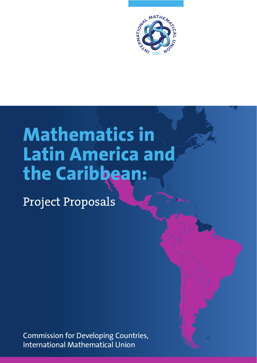

# **Mathematics in Latin America and the Caribbean:**

Project Proposals

Commission for Developing Countries, International Mathematical Union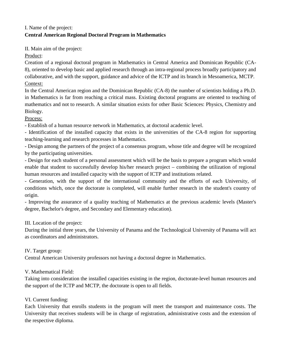## I. Name of the project: **Central American Regional Doctoral Program in Mathematics**

II. Main aim of the project:

Product:

Creation of a regional doctoral program in Mathematics in Central America and Dominican Republic (CA-8), oriented to develop basic and applied research through an intra-regional process broadly participatory and collaborative, and with the support, guidance and advice of the ICTP and its branch in Mesoamerica, MCTP. Context:

In the Central American region and the Dominican Republic (CA-8) the number of scientists holding a Ph.D. in Mathematics is far from reaching a critical mass. Existing doctoral programs are oriented to teaching of mathematics and not to research. A similar situation exists for other Basic Sciences: Physics, Chemistry and Biology.

Process:

- Establish of a human resource network in Mathematics, at doctoral academic level.

- Identification of the installed capacity that exists in the universities of the CA-8 region for supporting teaching-learning and research processes in Mathematics.

- Design among the partners of the project of a consensus program, whose title and degree will be recognized by the participating universities.

- Design for each student of a personal assessment which will be the basis to prepare a program which would enable that student to successfully develop his/her research project – combining the utilization of regional human resources and installed capacity with the support of ICTP and institutions related.

- Generation, with the support of the international community and the efforts of each University, of conditions which, once the doctorate is completed, will enable further research in the student's country of origin.

- Improving the assurance of a quality teaching of Mathematics at the previous academic levels (Master's degree, Bachelor's degree, and Secondary and Elementary education).

III. Location of the project:

During the initial three years, the University of Panama and the Technological University of Panama will act as coordinators and administrators.

IV. Target group:

Central American University professors not having a doctoral degree in Mathematics.

V. Mathematical Field:

Taking into consideration the installed capacities existing in the region, doctorate-level human resources and the support of the ICTP and MCTP, the doctorate is open to all fields.

VI. Current funding:

Each University that enrolls students in the program will meet the transport and maintenance costs. The University that receives students will be in charge of registration, administrative costs and the extension of the respective diploma.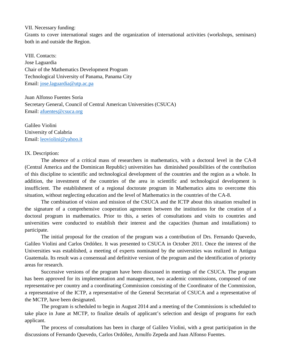### VII. Necessary funding:

Grants to cover international stages and the organization of international activities (workshops, seminars) both in and outside the Region.

VIII. Contacts: Jose Laguardia Chair of the Mathematics Development Program Technological University of Panama, Panama City Email: [jose.laguardia@utp.ac.pa](mailto:jose.laguardia@utp.ac.pa)

Juan Alfonso Fuentes Soria Secretary General, Council of Central American Universities (CSUCA) Email: [afuentes@csuca.org](mailto:afuentes@csuca.org)

Galileo Violini University of Calabria Email: [leoviolini@yahoo.it](mailto:leoviolini@yahoo.it)

#### IX. Description:

The absence of a critical mass of researchers in mathematics, with a doctoral level in the CA-8 (Central America and the Dominican Republic) universities has diminished possibilities of the contribution of this discipline to scientific and technological development of the countries and the region as a whole. In addition, the investment of the countries of the area in scientific and technological development is insufficient. The establishment of a regional doctorate program in Mathematics aims to overcome this situation, without neglecting education and the level of Mathematics in the countries of the CA-8.

The combination of vision and mission of the CSUCA and the ICTP about this situation resulted in the signature of a comprehensive cooperation agreement between the institutions for the creation of a doctoral program in mathematics. Prior to this, a series of consultations and visits to countries and universities were conducted to establish their interest and the capacities (human and installations) to participate.

The initial proposal for the creation of the program was a contribution of Drs. Fernando Quevedo, Galileo Violini and Carlos Ordóñez. It was presented to CSUCA in October 2011. Once the interest of the Universities was established, a meeting of experts nominated by the universities was realized in Antigua Guatemala. Its result was a consensual and definitive version of the program and the identification of priority areas for research.

Successive versions of the program have been discussed in meetings of the CSUCA. The program has been approved for its implementation and management, two academic commissions, composed of one representative per country and a coordinating Commission consisting of the Coordinator of the Commission, a representative of the ICTP, a representative of the General Secretariat of CSUCA and a representative of the MCTP, have been designated.

The program is scheduled to begin in August 2014 and a meeting of the Commissions is scheduled to take place in June at MCTP, to finalize details of applicant's selection and design of programs for each applicant.

The process of consultations has been in charge of Galileo Violini, with a great participation in the discussions of Fernando Quevedo, Carlos Ordóñez, Arnulfo Zepeda and Juan Alfonso Fuentes.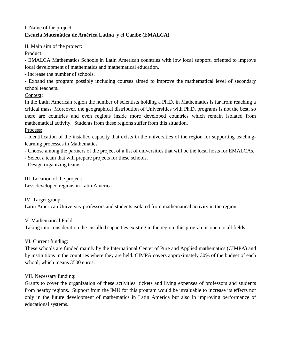## I. Name of the project: **Escuela Matemática de América Latina y el Caribe (EMALCA)**

II. Main aim of the project:

Product:

- EMALCA Mathematics Schools in Latin American countries with low local support, oriented to improve local development of mathematics and mathematical education.

- Increase the number of schools.

- Expand the program possibly including courses aimed to improve the mathematical level of secondary school teachers.

Context:

In the Latin American region the number of scientists holding a Ph.D. in Mathematics is far from reaching a critical mass. Moreover, the geographical distribution of Universities with Ph.D. programs is not the best, so there are countries and even regions inside more developed countries which remain isolated from mathematical activity. Students from these regions suffer from this situation.

Process:

- Identification of the installed capacity that exists in the universities of the region for supporting teachinglearning processes in Mathematics

- Choose among the partners of the project of a list of universities that will be the local hosts for EMALCAs.

- Select a team that will prepare projects for these schools.

- Design organizing teams.

III. Location of the project:

Less developed regions in Latin America.

IV. Target group:

Latin American University professors and students isolated from mathematical activity in the region.

V. Mathematical Field:

Taking into consideration the installed capacities existing in the region, this program is open to all fields

VI. Current funding:

These schools are funded mainly by the International Center of Pure and Applied mathematics (CIMPA) and by institutions in the countries where they are held. CIMPA covers approximately 30% of the budget of each school, which means 3500 euros.

VII. Necessary funding:

Grants to cover the organization of these activities: tickets and living expenses of professors and students from nearby regions. Support from the IMU for this program would be invaluable to increase its effects not only in the future development of mathematics in Latin America but also in improving performance of educational systems.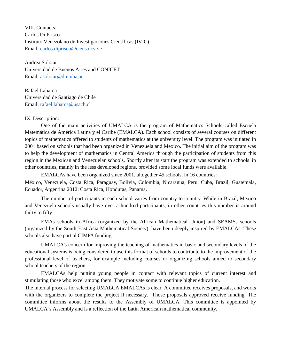VIII. Contacts: Carlos Di Prisco Instituto Venezolano de Investigaciones Científicas (IVIC) Email: [carlos.diprisco@ciens.ucv.ve](mailto:carlos.diprisco@ciens.ucv.ve)

Andrea Solotar Universidad de Buenos Aires and CONICET Email: [asolotar@dm.uba,ar](mailto:asolotar@dm.uba,ar)

Rafael Labarca Universidad de Santiago de Chile Email: [rafael.labarca@usach.cl](mailto:rafael.labarca@usach.cl)

## IX. Description:

One of the main activities of UMALCA is the program of Mathematics Schools called Escuela Matemática de América Latina y el Caribe (EMALCA). Each school consists of several courses on different topics of mathematics offered to students of mathematics at the university level. The program was initiated in 2001 based on schools that had been organized in Venezuela and Mexico. The initial aim of the program was to help the development of mathematics in Central America through the participation of students from this region in the Mexican and Venezuelan schools. Shortly after its start the program was extended to schools in other countries, mainly in the less developed regions, provided some local funds were available.

EMALCAs have been organized since 2001, altogether 45 schools, in 16 countries:

México, Venezuela, Costa Rica, Paraguay, Bolivia, Colombia, Nicaragua, Peru, Cuba, Brazil, Guatemala, Ecuador, Argentina 2012: Costa Rica, Honduras, Panama.

The number of participants in each school varies from country to country. While in Brazil, Mexico and Venezuela schools usually have over a hundred participants, in other countries this number is around thirty to fifty.

EMAs schools in Africa (organized by the African Mathematical Union) and SEAMSs schools (organized by the South-East Asia Mathematical Society), have been deeply inspired by EMALCAs. These schools also have partial CIMPA funding.

UMALCA's concern for improving the teaching of mathematics in basic and secondary levels of the educational systems is being considered to use this format of schools to contribute to the improvement of the professional level of teachers, for example including courses or organizing schools aimed to secondary school teachers of the region.

EMALCAs help putting young people in contact with relevant topics of current interest and stimulating those who excel among them. They motivate some to continue higher education.

The internal process for selecting UMALCA EMALCAs is clear. A committee receives proposals, and works with the organizers to complete the project if necessary. Those proposals approved receive funding. The committee informs about the results to the Assembly of UMALCA. This committee is appointed by UMALCA´s Assembly and is a reflection of the Latin American mathematical community.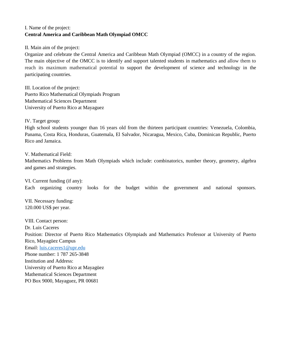## I. Name of the project: **Central America and Caribbean Math Olympiad OMCC**

II. Main aim of the project:

Organize and celebrate the Central America and Caribbean Math Olympiad (OMCC) in a country of the region. The main objective of the OMCC is to identify and support talented students in mathematics and allow them to reach its maximum mathematical potential to support the development of science and technology in the participating countries.

III. Location of the project: Puerto Rico Mathematical Olympiads Program Mathematical Sciences Department University of Puerto Rico at Mayaguez

IV. Target group:

High school students younger than 16 years old from the thirteen participant countries: Venezuela, Colombia, Panama, Costa Rica, Honduras, Guatemala, El Salvador, Nicaragua, Mexico, Cuba, Dominican Republic, Puerto Rico and Jamaica.

V. Mathematical Field:

Mathematics Problems from Math Olympiads which include: combinatorics, number theory, geometry, algebra and games and strategies.

VI. Current funding (if any): Each organizing country looks for the budget within the government and national sponsors.

VII. Necessary funding: 120.000 US\$ per year.

VIII. Contact person: Dr. Luis Caceres Position: Director of Puerto Rico Mathematics Olympiads and Mathematics Professor at University of Puerto Rico, Mayagüez Campus Email: [luis.caceres1@upr.edu](mailto:luis.caceres1@upr.edu) Phone number: 1 787 265-3848 Institution and Address: University of Puerto Rico at Mayagüez Mathematical Sciences Department PO Box 9000, Mayaguez, PR 00681